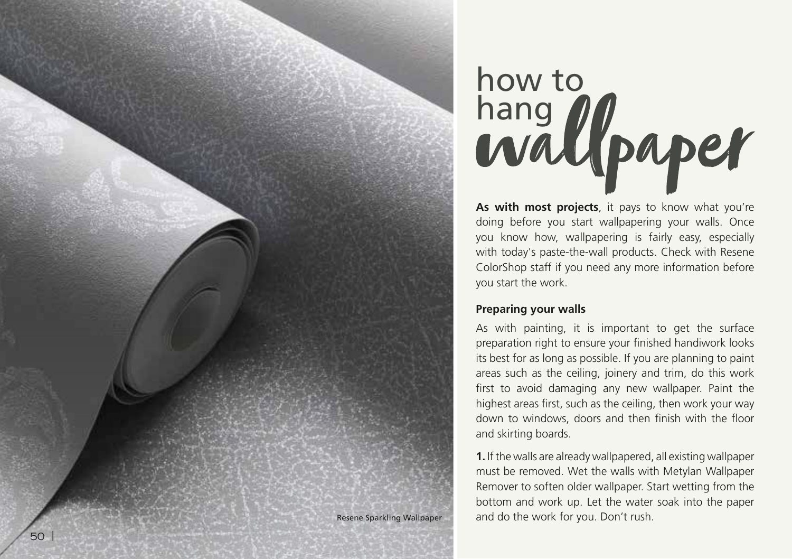

**As with most projects**, it pays to know what you're doing before you start wallpapering your walls. Once you know how, wallpapering is fairly easy, especially with today's paste-the-wall products. Check with Resene ColorShop staff if you need any more information before you start the work.

#### **Preparing your walls**

MBB01

As with painting, it is important to get the surface preparation right to ensure your finished handiwork looks its best for as long as possible. If you are planning to paint areas such as the ceiling, joinery and trim, do this work first to avoid damaging any new wallpaper. Paint the highest areas first, such as the ceiling, then work your way down to windows, doors and then finish with the floor and skirting boards.

**1.** If the walls are already wallpapered, all existing wallpaper must be removed. Wet the walls with Metylan Wallpaper Remover to soften older wallpaper. Start wetting from the bottom and work up. Let the water soak into the paper Resene Sparkling Wallpaper and do the work for you. Don't rush.

|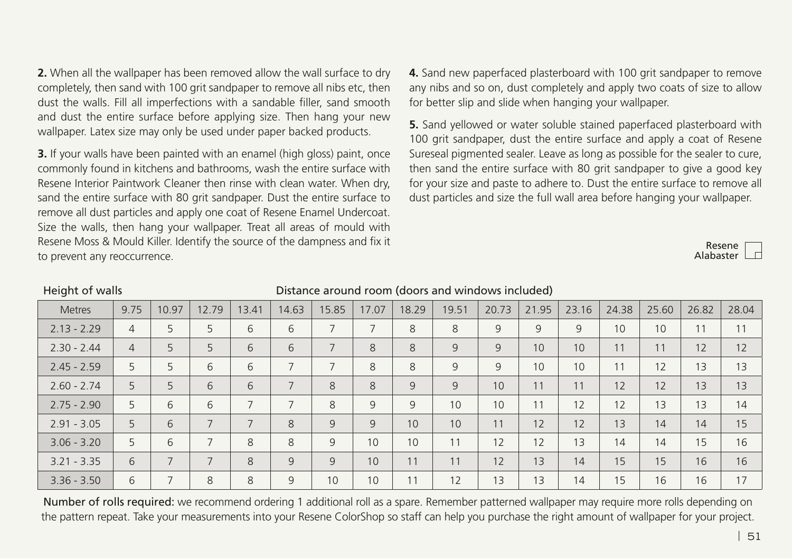**2.** When all the wallpaper has been removed allow the wall surface to dry completely, then sand with 100 grit sandpaper to remove all nibs etc, then dust the walls. Fill all imperfections with a sandable filler, sand smooth and dust the entire surface before applying size. Then hang your new wallpaper. Latex size may only be used under paper backed products.

**3.** If your walls have been painted with an enamel (high gloss) paint, once commonly found in kitchens and bathrooms, wash the entire surface with Resene Interior Paintwork Cleaner then rinse with clean water. When dry, sand the entire surface with 80 grit sandpaper. Dust the entire surface to remove all dust particles and apply one coat of Resene Enamel Undercoat. Size the walls, then hang your wallpaper. Treat all areas of mould with Resene Moss & Mould Killer. Identify the source of the dampness and fix it to prevent any reoccurrence.

**4.** Sand new paperfaced plasterboard with 100 grit sandpaper to remove any nibs and so on, dust completely and apply two coats of size to allow for better slip and slide when hanging your wallpaper.

**5.** Sand yellowed or water soluble stained paperfaced plasterboard with 100 grit sandpaper, dust the entire surface and apply a coat of Resene Sureseal pigmented sealer. Leave as long as possible for the sealer to cure, then sand the entire surface with 80 grit sandpaper to give a good key for your size and paste to adhere to. Dust the entire surface to remove all dust particles and size the full wall area before hanging your wallpaper.

> Resene Alabaster

## Height of walls Distance around room (doors and windows included)

| <b>Metres</b> | 9.75           | 10.97                    | 12.79                    | 13.41                    | 14.63          | 15.85          | 17.07          | 18.29 | 19.51 | 20.73 | 21.95 | 23.16 | 24.38 | 25.60 | 26.82 | 28.04 |
|---------------|----------------|--------------------------|--------------------------|--------------------------|----------------|----------------|----------------|-------|-------|-------|-------|-------|-------|-------|-------|-------|
| $2.13 - 2.29$ | $\overline{4}$ | 5                        | 5                        | 6                        | 6              | $\overline{7}$ | $\overline{ }$ | 8     | 8     | 9     | 9     | 9     | 10    | 10    | 11    | 11    |
| $2.30 - 2.44$ | $\overline{4}$ | 5                        | 5                        | 6                        | 6              | $\overline{7}$ | 8              | 8     | 9     | 9     | 10    | 10    | 11    | 11    | 12    | 12    |
| $2.45 - 2.59$ | 5              | 5                        | 6                        | 6                        | 7              | $\overline{7}$ | 8              | 8     | 9     | 9     | 10    | 10    | 11    | 12    | 13    | 13    |
| $2.60 - 2.74$ | 5              | 5                        | 6                        | 6                        | $\overline{7}$ | 8              | 8              | 9     | 9     | 10    | 11    | 11    | 12    | 12    | 13    | 13    |
| $2.75 - 2.90$ | 5              | 6                        | 6                        | $\overline{\phantom{0}}$ | 7              | 8              | 9              | 9     | 10    | 10    | 11    | 12    | 12    | 13    | 13    | 14    |
| $2.91 - 3.05$ | 5              | 6                        | $\overline{\phantom{0}}$ | $\overline{7}$           | 8              | 9              | 9              | 10    | 10    | 11    | 12    | 12    | 13    | 14    | 14    | 15    |
| $3.06 - 3.20$ | 5              | 6                        |                          | 8                        | 8              | 9              | 10             | 10    | 11    | 12    | 12    | 13    | 14    | 14    | 15    | 16    |
| $3.21 - 3.35$ | 6              | $\overline{\phantom{0}}$ | $\overline{\phantom{0}}$ | 8                        | 9              | 9              | 10             | 11    | 11    | 12    | 13    | 14    | 15    | 15    | 16    | 16    |
| $3.36 - 3.50$ | 6              | $\overline{\phantom{1}}$ | 8                        | 8                        | 9              | 10             | 10             | 11    | 12    | 13    | 13    | 14    | 15    | 16    | 16    | 17    |

Number of rolls required: we recommend ordering 1 additional roll as a spare. Remember patterned wallpaper may require more rolls depending on the pattern repeat. Take your measurements into your Resene ColorShop so staff can help you purchase the right amount of wallpaper for your project.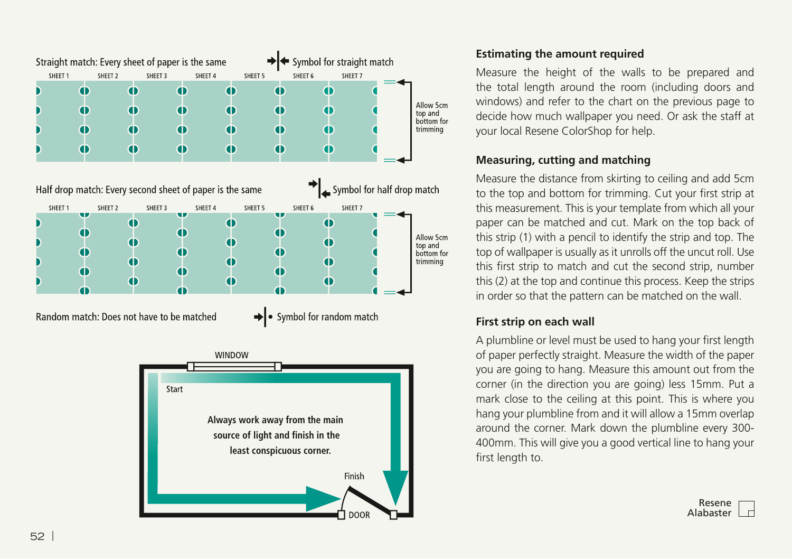



### **Estimating the amount required**

Measure the height of the walls to be prepared and the total length around the room (including doors and windows) and refer to the chart on the previous page to decide how much wallpaper you need. Or ask the staff at your local Resene ColorShop for help.

# **Measuring, cutting and matching**

Measure the distance from skirting to ceiling and add 5cm to the top and bottom for trimming. Cut your first strip at this measurement. This is your template from which all your paper can be matched and cut. Mark on the top back of this strip (1) with a pencil to identify the strip and top. The top of wallpaper is usually as it unrolls off the uncut roll. Use this first strip to match and cut the second strip, number this (2) at the top and continue this process. Keep the strips in order so that the pattern can be matched on the wall.

# **First strip on each wall**

A plumbline or level must be used to hang your first length of paper perfectly straight. Measure the width of the paper you are going to hang. Measure this amount out from the corner (in the direction you are going) less 15mm. Put a mark close to the ceiling at this point. This is where you hang your plumbline from and it will allow a 15mm overlap around the corner. Mark down the plumbline every 300- 400mm. This will give you a good vertical line to hang your first length to.

|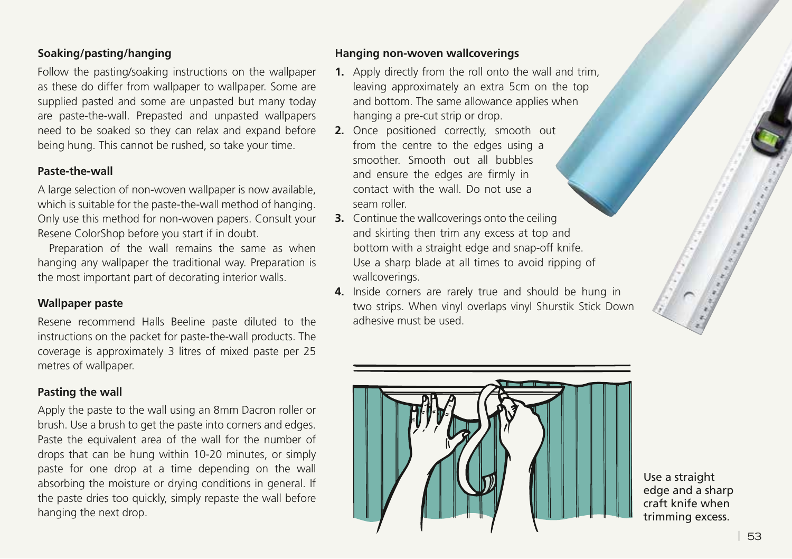#### **Soaking/pasting/hanging**

Follow the pasting/soaking instructions on the wallpaper as these do differ from wallpaper to wallpaper. Some are supplied pasted and some are unpasted but many today are paste-the-wall. Prepasted and unpasted wallpapers need to be soaked so they can relax and expand before being hung. This cannot be rushed, so take your time.

#### **Paste-the-wall**

A large selection of non-woven wallpaper is now available, which is suitable for the paste-the-wall method of hanging. Only use this method for non-woven papers. Consult your Resene ColorShop before you start if in doubt.

Preparation of the wall remains the same as when hanging any wallpaper the traditional way. Preparation is the most important part of decorating interior walls.

#### **Wallpaper paste**

Resene recommend Halls Beeline paste diluted to the instructions on the packet for paste-the-wall products. The coverage is approximately 3 litres of mixed paste per 25 metres of wallpaper.

### **Pasting the wall**

Apply the paste to the wall using an 8mm Dacron roller or brush. Use a brush to get the paste into corners and edges. Paste the equivalent area of the wall for the number of drops that can be hung within 10-20 minutes, or simply paste for one drop at a time depending on the wall absorbing the moisture or drying conditions in general. If the paste dries too quickly, simply repaste the wall before hanging the next drop.

#### **Hanging non-woven wallcoverings**

- **1.** Apply directly from the roll onto the wall and trim, leaving approximately an extra 5cm on the top and bottom. The same allowance applies when hanging a pre-cut strip or drop.
- **2.** Once positioned correctly, smooth out from the centre to the edges using a smoother. Smooth out all bubbles and ensure the edges are firmly in contact with the wall. Do not use a seam roller.
- **3.** Continue the wallcoverings onto the ceiling and skirting then trim any excess at top and bottom with a straight edge and snap-off knife. Use a sharp blade at all times to avoid ripping of wallcoverings.
- **4.** Inside corners are rarely true and should be hung in two strips. When vinyl overlaps vinyl Shurstik Stick Down adhesive must be used.



Use a straight edge and a sharp craft knife when trimming excess.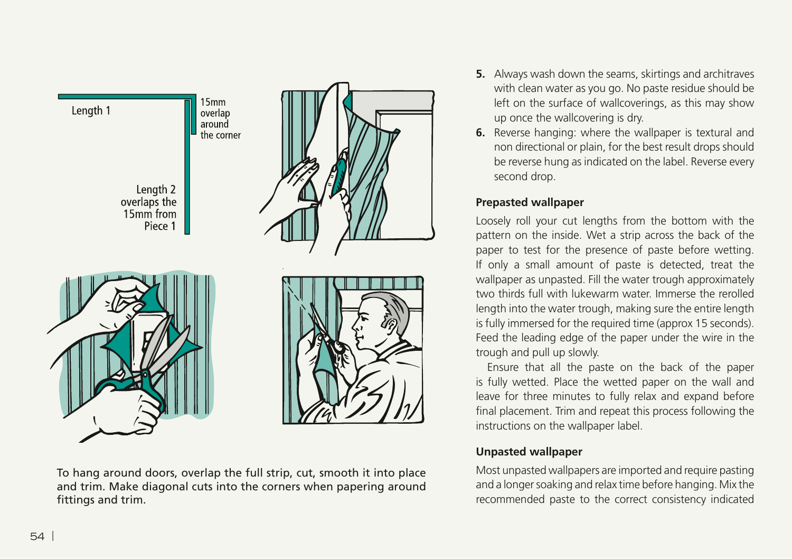

To hang around doors, overlap the full strip, cut, smooth it into place and trim. Make diagonal cuts into the corners when papering around fittings and trim.

- **5.** Always wash down the seams, skirtings and architraves with clean water as you go. No paste residue should be left on the surface of wallcoverings, as this may show up once the wallcovering is dry.
- **6.** Reverse hanging: where the wallpaper is textural and non directional or plain, for the best result drops should be reverse hung as indicated on the label. Reverse every second drop.

#### **Prepasted wallpaper**

Loosely roll your cut lengths from the bottom with the pattern on the inside. Wet a strip across the back of the paper to test for the presence of paste before wetting. If only a small amount of paste is detected, treat the wallpaper as unpasted. Fill the water trough approximately two thirds full with lukewarm water. Immerse the rerolled length into the water trough, making sure the entire length is fully immersed for the required time (approx 15 seconds). Feed the leading edge of the paper under the wire in the trough and pull up slowly.

Ensure that all the paste on the back of the paper is fully wetted. Place the wetted paper on the wall and leave for three minutes to fully relax and expand before final placement. Trim and repeat this process following the instructions on the wallpaper label.

### **Unpasted wallpaper**

Most unpasted wallpapers are imported and require pasting and a longer soaking and relax time before hanging. Mix the recommended paste to the correct consistency indicated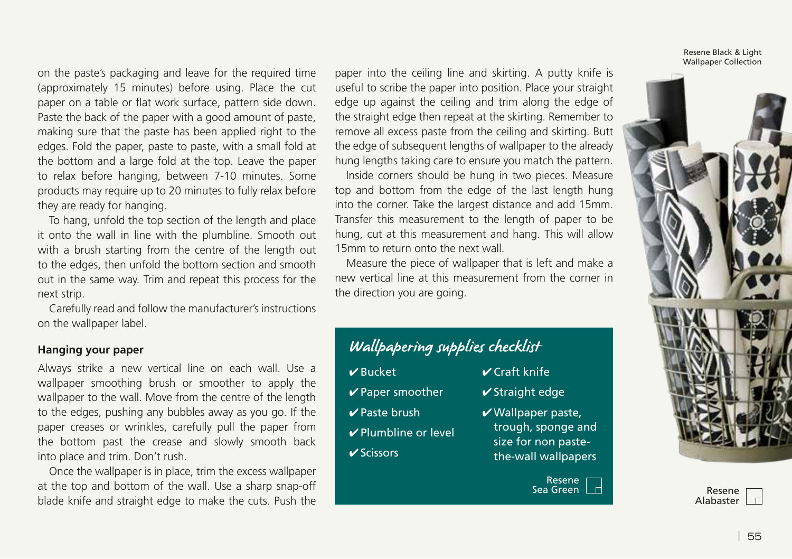on the paste's packaging and leave for the required time (approximately 15 minutes) before using. Place the cut paper on a table or flat work surface, pattern side down. Paste the back of the paper with a good amount of paste, making sure that the paste has been applied right to the edges. Fold the paper, paste to paste, with a small fold at the bottom and a large fold at the top. Leave the paper to relax before hanging, between 7-10 minutes. Some products may require up to 20 minutes to fully relax before they are ready for hanging.

To hang, unfold the top section of the length and place it onto the wall in line with the plumbline. Smooth out with a brush starting from the centre of the length out to the edges, then unfold the bottom section and smooth out in the same way. Trim and repeat this process for the next strip.

Carefully read and follow the manufacturer's instructions on the wallpaper label.

#### **Hanging your paper**

Always strike a new vertical line on each wall. Use a wallpaper smoothing brush or smoother to apply the wallpaper to the wall. Move from the centre of the length to the edges, pushing any bubbles away as you go. If the paper creases or wrinkles, carefully pull the paper from the bottom past the crease and slowly smooth back into place and trim. Don't rush.

Once the wallpaper is in place, trim the excess wallpaper at the top and bottom of the wall. Use a sharp snap-off blade knife and straight edge to make the cuts. Push the

paper into the ceiling line and skirting. A putty knife is useful to scribe the paper into position. Place your straight edge up against the ceiling and trim along the edge of the straight edge then repeat at the skirting. Remember to remove all excess paste from the ceiling and skirting. Butt the edge of subsequent lengths of wallpaper to the already hung lengths taking care to ensure you match the pattern.

Inside corners should be hung in two pieces. Measure top and bottom from the edge of the last length hung into the corner. Take the largest distance and add 15mm. Transfer this measurement to the length of paper to be hung, cut at this measurement and hang. This will allow 15mm to return onto the next wall.

Measure the piece of wallpaper that is left and make a new vertical line at this measurement from the corner in the direction you are going.

# Wallpapering supplies checklist

- ✔ Bucket  $\vee$  Paper smoother ✔ Paste brush
- 
- ✔ Plumbline or level
- ✔ Scissors
- $\vee$  Craft knife
	- $\checkmark$  Straight edge
	- $\boldsymbol{\nu}$  Wallpaper paste, trough, sponge and size for non pastethe-wall wallpapers



Resene Black & Light Wallpaper Collection



Alabaster